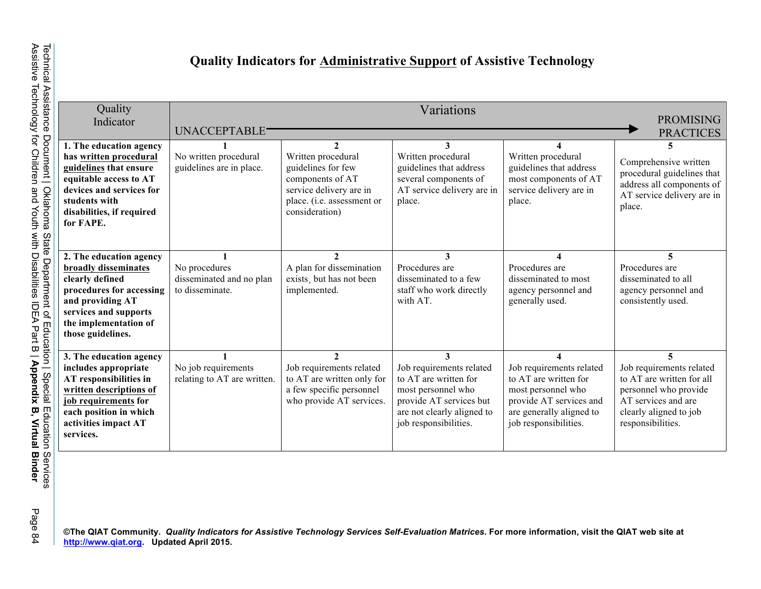## **Quality Indicators for Administrative Support of Assistive Technology**

| Quality<br>Indicator                                                                                                                                                                         | Variations<br><b>PROMISING</b><br><b>UNACCEPTABLE</b><br><b>PRACTICES</b> |                                                                                                                                                          |                                                                                                                                                                |                                                                                                                                                         |                                                                                                                                                           |  |  |
|----------------------------------------------------------------------------------------------------------------------------------------------------------------------------------------------|---------------------------------------------------------------------------|----------------------------------------------------------------------------------------------------------------------------------------------------------|----------------------------------------------------------------------------------------------------------------------------------------------------------------|---------------------------------------------------------------------------------------------------------------------------------------------------------|-----------------------------------------------------------------------------------------------------------------------------------------------------------|--|--|
| 1. The education agency<br>has written procedural<br>guidelines that ensure<br>equitable access to AT<br>devices and services for<br>students with<br>disabilities, if required<br>for FAPE. | No written procedural<br>guidelines are in place.                         | $\mathcal{D}$<br>Written procedural<br>guidelines for few<br>components of AT<br>service delivery are in<br>place. (i.e. assessment or<br>consideration) | 3<br>Written procedural<br>guidelines that address<br>several components of<br>AT service delivery are in<br>place.                                            | Written procedural<br>guidelines that address<br>most components of AT<br>service delivery are in<br>place.                                             | 5<br>Comprehensive written<br>procedural guidelines that<br>address all components of<br>AT service delivery are in<br>place.                             |  |  |
| 2. The education agency<br>broadly disseminates<br>clearly defined<br>procedures for accessing<br>and providing AT<br>services and supports<br>the implementation of<br>those guidelines.    | No procedures<br>disseminated and no plan<br>to disseminate.              | $\mathfrak{D}$<br>A plan for dissemination<br>exists, but has not been<br>implemented.                                                                   | 3<br>Procedures are<br>disseminated to a few<br>staff who work directly<br>with AT.                                                                            | Procedures are<br>disseminated to most<br>agency personnel and<br>generally used.                                                                       | 5<br>Procedures are<br>disseminated to all<br>agency personnel and<br>consistently used.                                                                  |  |  |
| 3. The education agency<br>includes appropriate<br>AT responsibilities in<br>written descriptions of<br>job requirements for<br>each position in which<br>activities impact AT<br>services.  | No job requirements<br>relating to AT are written.                        | $\mathfrak{D}$<br>Job requirements related<br>to AT are written only for<br>a few specific personnel<br>who provide AT services.                         | 3<br>Job requirements related<br>to AT are written for<br>most personnel who<br>provide AT services but<br>are not clearly aligned to<br>job responsibilities. | Job requirements related<br>to AT are written for<br>most personnel who<br>provide AT services and<br>are generally aligned to<br>job responsibilities. | 5<br>Job requirements related<br>to AT are written for all<br>personnel who provide<br>AT services and are<br>clearly aligned to job<br>responsibilities. |  |  |

<sub>©</sub><br>©<br>© ©The QIAT Community. *Quality Indicators for Assistive Technology Services Self-Evaluation Matrices. For more information, visit the QIAT web site at<br><u>۴ http://www.qiat.org</u>. Updated April 2015.*